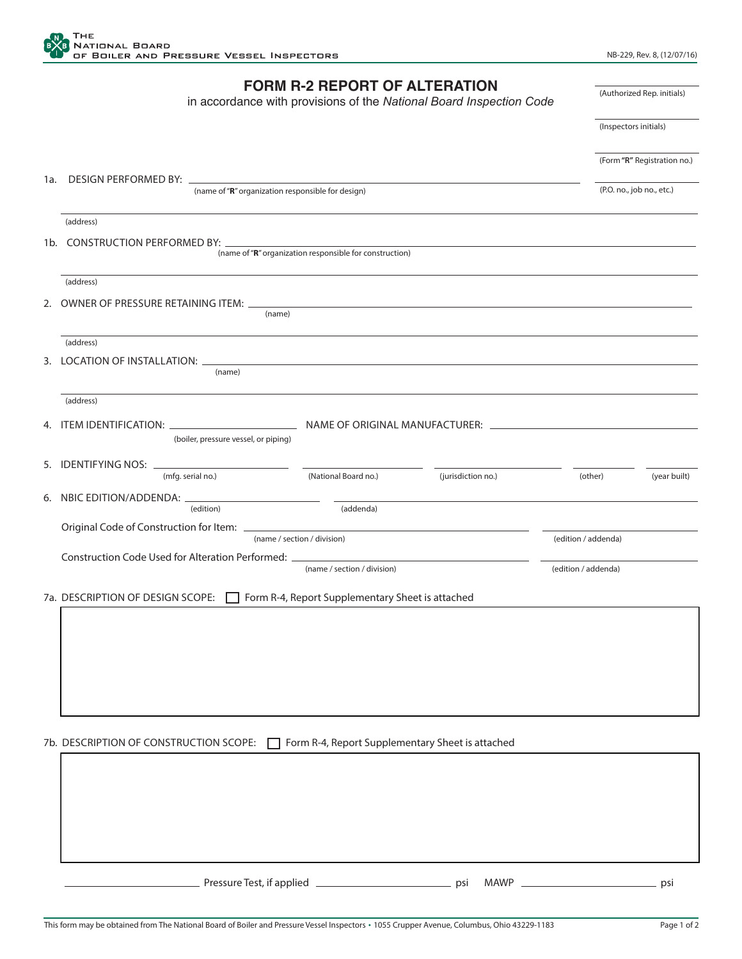

## **FORM R-2 REPORT OF ALTERATION**

in accordance with provisions of the *National Board Inspection Code*

(Inspectors initials)

(Authorized Rep. initials)

|  | (Form "R" Registration no.) |
|--|-----------------------------|
|--|-----------------------------|

| 1a. DESIGN PERFORMED BY: _                                                                                                                                                                                                     | (name of "R" organization responsible for design) |                    |                     | (P.O. no., job no., etc.) |  |  |
|--------------------------------------------------------------------------------------------------------------------------------------------------------------------------------------------------------------------------------|---------------------------------------------------|--------------------|---------------------|---------------------------|--|--|
| (address)                                                                                                                                                                                                                      |                                                   |                    |                     |                           |  |  |
| 1b. CONSTRUCTION PERFORMED BY:<br>(name of "R" organization responsible for construction)                                                                                                                                      |                                                   |                    |                     |                           |  |  |
| (address)                                                                                                                                                                                                                      |                                                   |                    |                     |                           |  |  |
| 2. OWNER OF PRESSURE RETAINING ITEM: _<br>(name)                                                                                                                                                                               |                                                   |                    |                     |                           |  |  |
| (address)                                                                                                                                                                                                                      |                                                   |                    |                     |                           |  |  |
| 3. LOCATION OF INSTALLATION:<br>(name)                                                                                                                                                                                         |                                                   |                    |                     |                           |  |  |
| (address)                                                                                                                                                                                                                      |                                                   |                    |                     |                           |  |  |
| (boiler, pressure vessel, or piping)                                                                                                                                                                                           |                                                   |                    |                     |                           |  |  |
| (mfg. serial no.)                                                                                                                                                                                                              | (National Board no.)                              | (jurisdiction no.) | (other)             | (year built)              |  |  |
| (edition)                                                                                                                                                                                                                      | (addenda)                                         |                    |                     |                           |  |  |
| Original Code of Construction for Item: [19] Decree the Construction of the Construction of the Construction of the Construction of the Construction of the Construction of the Construction of the Construction of the Constr | (name / section / division)                       |                    | (edition / addenda) |                           |  |  |
| Construction Code Used for Alteration Performed: _______________________________                                                                                                                                               |                                                   |                    |                     |                           |  |  |
|                                                                                                                                                                                                                                | (name / section / division)                       |                    | (edition / addenda) |                           |  |  |
| 7a. DESCRIPTION OF DESIGN SCOPE:                                                                                                                                                                                               | Form R-4, Report Supplementary Sheet is attached  |                    |                     |                           |  |  |
|                                                                                                                                                                                                                                |                                                   |                    |                     |                           |  |  |
|                                                                                                                                                                                                                                |                                                   |                    |                     |                           |  |  |
|                                                                                                                                                                                                                                |                                                   |                    |                     |                           |  |  |
|                                                                                                                                                                                                                                |                                                   |                    |                     |                           |  |  |
|                                                                                                                                                                                                                                |                                                   |                    |                     |                           |  |  |
| 7b. DESCRIPTION OF CONSTRUCTION SCOPE:                                                                                                                                                                                         | Form R-4, Report Supplementary Sheet is attached  |                    |                     |                           |  |  |
|                                                                                                                                                                                                                                |                                                   |                    |                     |                           |  |  |
|                                                                                                                                                                                                                                |                                                   |                    |                     |                           |  |  |
|                                                                                                                                                                                                                                |                                                   |                    |                     |                           |  |  |
|                                                                                                                                                                                                                                |                                                   |                    |                     |                           |  |  |
|                                                                                                                                                                                                                                |                                                   |                    |                     |                           |  |  |

Pressure Test, if applied <u>example and the set of the psi MAWP psi MAWP psi Pressure Test</u>, if applied psi